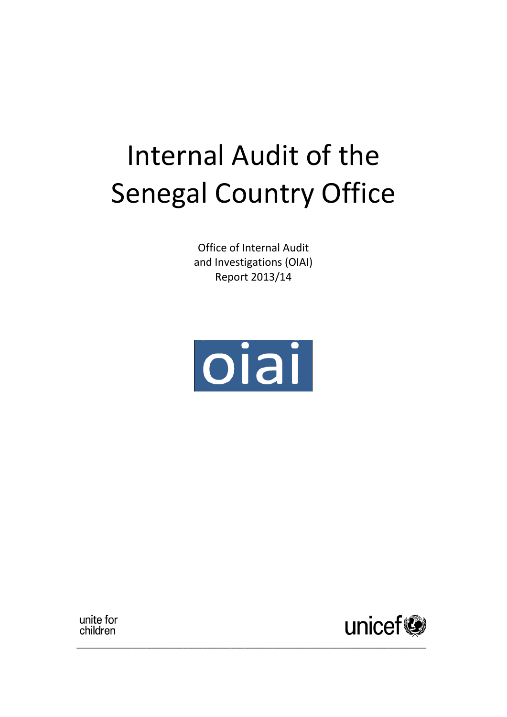# Internal Audit of the Senegal Country Office

Office of Internal Audit and Investigations (OIAI) Report 2013/14



\_\_\_\_\_\_\_\_\_\_\_\_\_\_\_\_\_\_\_\_\_\_\_\_\_\_\_\_\_\_\_\_\_\_\_\_\_\_\_\_\_\_\_\_\_\_\_\_\_\_\_\_\_\_\_\_\_\_\_\_\_\_\_\_\_\_\_\_\_\_\_\_\_\_\_

unite for children

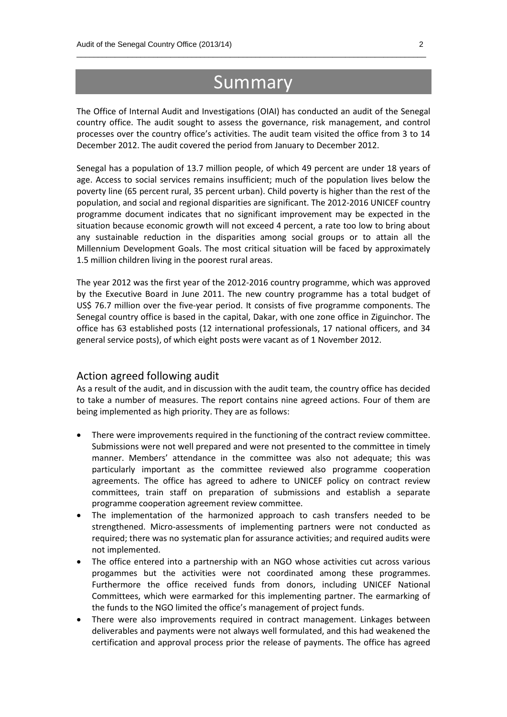## **Summary**

\_\_\_\_\_\_\_\_\_\_\_\_\_\_\_\_\_\_\_\_\_\_\_\_\_\_\_\_\_\_\_\_\_\_\_\_\_\_\_\_\_\_\_\_\_\_\_\_\_\_\_\_\_\_\_\_\_\_\_\_\_\_\_\_\_\_\_\_\_\_\_\_\_\_\_\_\_\_\_\_\_\_

The Office of Internal Audit and Investigations (OIAI) has conducted an audit of the Senegal country office. The audit sought to assess the governance, risk management, and control processes over the country office's activities. The audit team visited the office from 3 to 14 December 2012. The audit covered the period from January to December 2012.

Senegal has a population of 13.7 million people, of which 49 percent are under 18 years of age. Access to social services remains insufficient; much of the population lives below the poverty line (65 percent rural, 35 percent urban). Child poverty is higher than the rest of the population, and social and regional disparities are significant. The 2012-2016 UNICEF country programme document indicates that no significant improvement may be expected in the situation because economic growth will not exceed 4 percent, a rate too low to bring about any sustainable reduction in the disparities among social groups or to attain all the Millennium Development Goals. The most critical situation will be faced by approximately 1.5 million children living in the poorest rural areas.

The year 2012 was the first year of the 2012-2016 country programme, which was approved by the Executive Board in June 2011. The new country programme has a total budget of US\$ 76.7 million over the five-year period. It consists of five programme components. The Senegal country office is based in the capital, Dakar, with one zone office in Ziguinchor. The office has 63 established posts (12 international professionals, 17 national officers, and 34 general service posts), of which eight posts were vacant as of 1 November 2012.

#### Action agreed following audit

As a result of the audit, and in discussion with the audit team, the country office has decided to take a number of measures. The report contains nine agreed actions. Four of them are being implemented as high priority. They are as follows:

- There were improvements required in the functioning of the contract review committee. Submissions were not well prepared and were not presented to the committee in timely manner. Members' attendance in the committee was also not adequate; this was particularly important as the committee reviewed also programme cooperation agreements. The office has agreed to adhere to UNICEF policy on contract review committees, train staff on preparation of submissions and establish a separate programme cooperation agreement review committee.
- The implementation of the harmonized approach to cash transfers needed to be strengthened. Micro-assessments of implementing partners were not conducted as required; there was no systematic plan for assurance activities; and required audits were not implemented.
- The office entered into a partnership with an NGO whose activities cut across various progammes but the activities were not coordinated among these programmes. Furthermore the office received funds from donors, including UNICEF National Committees, which were earmarked for this implementing partner. The earmarking of the funds to the NGO limited the office's management of project funds.
- There were also improvements required in contract management. Linkages between deliverables and payments were not always well formulated, and this had weakened the certification and approval process prior the release of payments. The office has agreed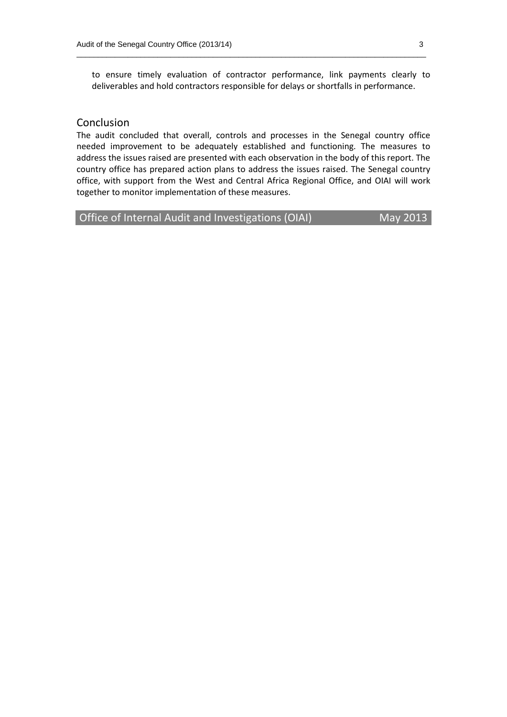to ensure timely evaluation of contractor performance, link payments clearly to deliverables and hold contractors responsible for delays or shortfalls in performance.

\_\_\_\_\_\_\_\_\_\_\_\_\_\_\_\_\_\_\_\_\_\_\_\_\_\_\_\_\_\_\_\_\_\_\_\_\_\_\_\_\_\_\_\_\_\_\_\_\_\_\_\_\_\_\_\_\_\_\_\_\_\_\_\_\_\_\_\_\_\_\_\_\_\_\_\_\_\_\_\_\_\_

#### Conclusion

The audit concluded that overall, controls and processes in the Senegal country office needed improvement to be adequately established and functioning. The measures to address the issues raised are presented with each observation in the body of this report. The country office has prepared action plans to address the issues raised. The Senegal country office, with support from the West and Central Africa Regional Office, and OIAI will work together to monitor implementation of these measures.

Office of Internal Audit and Investigations (OIAI) May 2013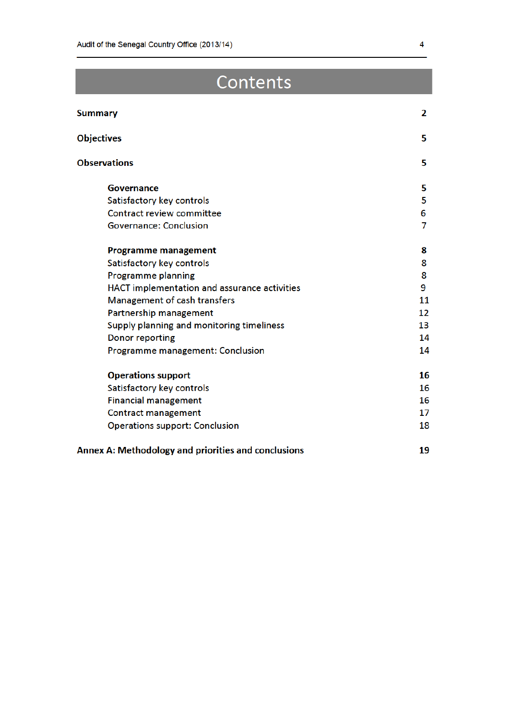## Contents

| Summary                                             | 2  |
|-----------------------------------------------------|----|
| <b>Objectives</b>                                   | 5  |
| <b>Observations</b>                                 | 5  |
| Governance                                          | 5  |
| Satisfactory key controls                           | 5  |
| Contract review committee                           | 6  |
| <b>Governance: Conclusion</b>                       | 7  |
| <b>Programme management</b>                         | 8  |
| Satisfactory key controls                           | 8  |
| <b>Programme planning</b>                           | 8  |
| HACT implementation and assurance activities        | 9  |
| Management of cash transfers                        | 11 |
| Partnership management                              | 12 |
| Supply planning and monitoring timeliness           | 13 |
| Donor reporting                                     | 14 |
| Programme management: Conclusion                    | 14 |
| <b>Operations support</b>                           | 16 |
| Satisfactory key controls                           | 16 |
| <b>Financial management</b>                         | 16 |
| Contract management                                 | 17 |
| <b>Operations support: Conclusion</b>               | 18 |
| Annex A: Methodology and priorities and conclusions | 19 |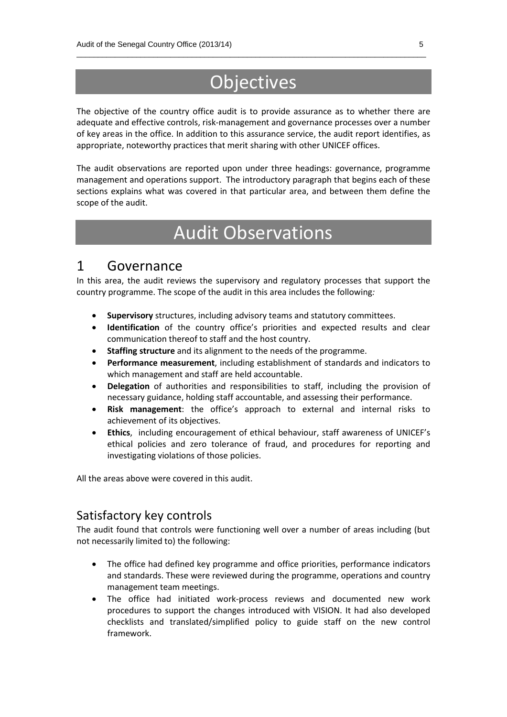## **Objectives**

\_\_\_\_\_\_\_\_\_\_\_\_\_\_\_\_\_\_\_\_\_\_\_\_\_\_\_\_\_\_\_\_\_\_\_\_\_\_\_\_\_\_\_\_\_\_\_\_\_\_\_\_\_\_\_\_\_\_\_\_\_\_\_\_\_\_\_\_\_\_\_\_\_\_\_\_\_\_\_\_\_\_

The objective of the country office audit is to provide assurance as to whether there are adequate and effective controls, risk-management and governance processes over a number of key areas in the office. In addition to this assurance service, the audit report identifies, as appropriate, noteworthy practices that merit sharing with other UNICEF offices.

The audit observations are reported upon under three headings: governance, programme management and operations support. The introductory paragraph that begins each of these sections explains what was covered in that particular area, and between them define the scope of the audit.

## Audit Observations

## 1 Governance

In this area, the audit reviews the supervisory and regulatory processes that support the country programme. The scope of the audit in this area includes the following*:*

- **Supervisory** structures, including advisory teams and statutory committees.
- **Identification** of the country office's priorities and expected results and clear communication thereof to staff and the host country.
- **Staffing structure** and its alignment to the needs of the programme.
- **Performance measurement**, including establishment of standards and indicators to which management and staff are held accountable.
- **Delegation** of authorities and responsibilities to staff, including the provision of necessary guidance, holding staff accountable, and assessing their performance.
- **Risk management**: the office's approach to external and internal risks to achievement of its objectives.
- **Ethics**, including encouragement of ethical behaviour, staff awareness of UNICEF's ethical policies and zero tolerance of fraud, and procedures for reporting and investigating violations of those policies.

All the areas above were covered in this audit.

### Satisfactory key controls

The audit found that controls were functioning well over a number of areas including (but not necessarily limited to) the following:

- The office had defined key programme and office priorities, performance indicators and standards. These were reviewed during the programme, operations and country management team meetings.
- The office had initiated work-process reviews and documented new work procedures to support the changes introduced with VISION. It had also developed checklists and translated/simplified policy to guide staff on the new control framework.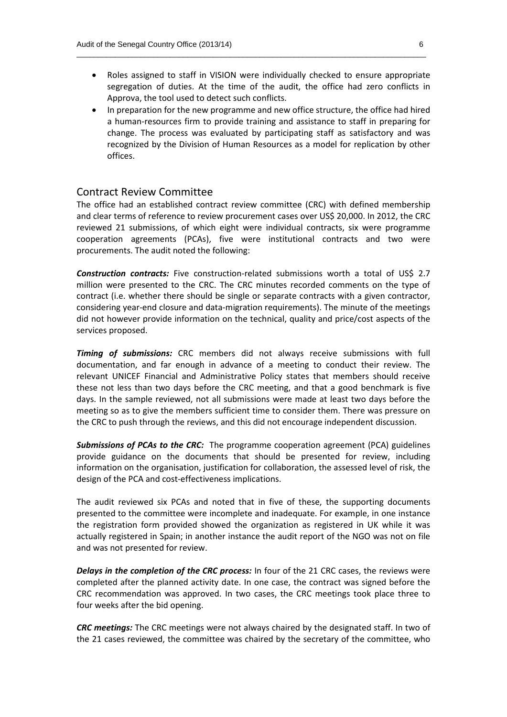• Roles assigned to staff in VISION were individually checked to ensure appropriate segregation of duties. At the time of the audit, the office had zero conflicts in Approva, the tool used to detect such conflicts.

\_\_\_\_\_\_\_\_\_\_\_\_\_\_\_\_\_\_\_\_\_\_\_\_\_\_\_\_\_\_\_\_\_\_\_\_\_\_\_\_\_\_\_\_\_\_\_\_\_\_\_\_\_\_\_\_\_\_\_\_\_\_\_\_\_\_\_\_\_\_\_\_\_\_\_\_\_\_\_\_\_\_

• In preparation for the new programme and new office structure, the office had hired a human-resources firm to provide training and assistance to staff in preparing for change. The process was evaluated by participating staff as satisfactory and was recognized by the Division of Human Resources as a model for replication by other offices.

#### Contract Review Committee

The office had an established contract review committee (CRC) with defined membership and clear terms of reference to review procurement cases over US\$ 20,000. In 2012, the CRC reviewed 21 submissions, of which eight were individual contracts, six were programme cooperation agreements (PCAs), five were institutional contracts and two were procurements. The audit noted the following:

*Construction contracts:* Five construction-related submissions worth a total of US\$ 2.7 million were presented to the CRC. The CRC minutes recorded comments on the type of contract (i.e. whether there should be single or separate contracts with a given contractor, considering year-end closure and data-migration requirements). The minute of the meetings did not however provide information on the technical, quality and price/cost aspects of the services proposed.

*Timing of submissions:* CRC members did not always receive submissions with full documentation, and far enough in advance of a meeting to conduct their review. The relevant UNICEF Financial and Administrative Policy states that members should receive these not less than two days before the CRC meeting, and that a good benchmark is five days. In the sample reviewed, not all submissions were made at least two days before the meeting so as to give the members sufficient time to consider them. There was pressure on the CRC to push through the reviews, and this did not encourage independent discussion.

*Submissions of PCAs to the CRC:* The programme cooperation agreement (PCA) guidelines provide guidance on the documents that should be presented for review, including information on the organisation, justification for collaboration, the assessed level of risk, the design of the PCA and cost-effectiveness implications.

The audit reviewed six PCAs and noted that in five of these, the supporting documents presented to the committee were incomplete and inadequate. For example, in one instance the registration form provided showed the organization as registered in UK while it was actually registered in Spain; in another instance the audit report of the NGO was not on file and was not presented for review.

*Delays in the completion of the CRC process:* In four of the 21 CRC cases, the reviews were completed after the planned activity date. In one case, the contract was signed before the CRC recommendation was approved. In two cases, the CRC meetings took place three to four weeks after the bid opening.

*CRC meetings:* The CRC meetings were not always chaired by the designated staff. In two of the 21 cases reviewed, the committee was chaired by the secretary of the committee, who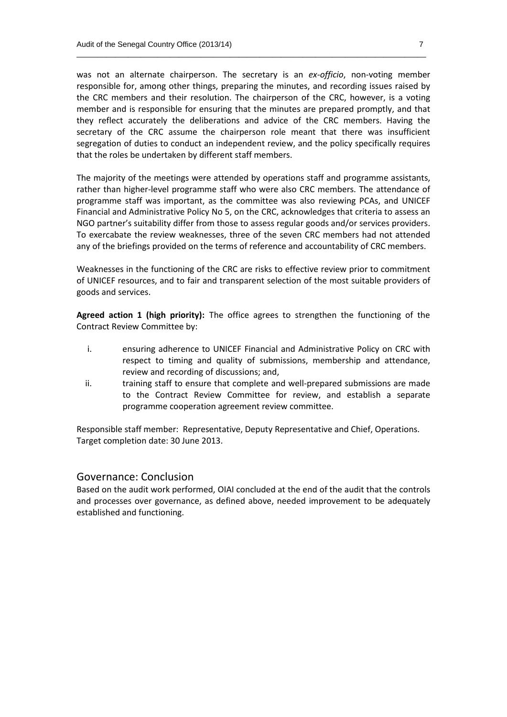was not an alternate chairperson. The secretary is an *ex-officio*, non-voting member responsible for, among other things, preparing the minutes, and recording issues raised by the CRC members and their resolution. The chairperson of the CRC, however, is a voting member and is responsible for ensuring that the minutes are prepared promptly, and that they reflect accurately the deliberations and advice of the CRC members. Having the secretary of the CRC assume the chairperson role meant that there was insufficient segregation of duties to conduct an independent review, and the policy specifically requires that the roles be undertaken by different staff members.

\_\_\_\_\_\_\_\_\_\_\_\_\_\_\_\_\_\_\_\_\_\_\_\_\_\_\_\_\_\_\_\_\_\_\_\_\_\_\_\_\_\_\_\_\_\_\_\_\_\_\_\_\_\_\_\_\_\_\_\_\_\_\_\_\_\_\_\_\_\_\_\_\_\_\_\_\_\_\_\_\_\_

The majority of the meetings were attended by operations staff and programme assistants, rather than higher-level programme staff who were also CRC members. The attendance of programme staff was important, as the committee was also reviewing PCAs, and UNICEF Financial and Administrative Policy No 5, on the CRC, acknowledges that criteria to assess an NGO partner's suitability differ from those to assess regular goods and/or services providers. To exercabate the review weaknesses, three of the seven CRC members had not attended any of the briefings provided on the terms of reference and accountability of CRC members.

Weaknesses in the functioning of the CRC are risks to effective review prior to commitment of UNICEF resources, and to fair and transparent selection of the most suitable providers of goods and services.

**Agreed action 1 (high priority):** The office agrees to strengthen the functioning of the Contract Review Committee by:

- i. ensuring adherence to UNICEF Financial and Administrative Policy on CRC with respect to timing and quality of submissions, membership and attendance, review and recording of discussions; and,
- ii. training staff to ensure that complete and well-prepared submissions are made to the Contract Review Committee for review, and establish a separate programme cooperation agreement review committee.

Responsible staff member: Representative, Deputy Representative and Chief, Operations. Target completion date: 30 June 2013.

#### Governance: Conclusion

Based on the audit work performed, OIAI concluded at the end of the audit that the controls and processes over governance, as defined above, needed improvement to be adequately established and functioning.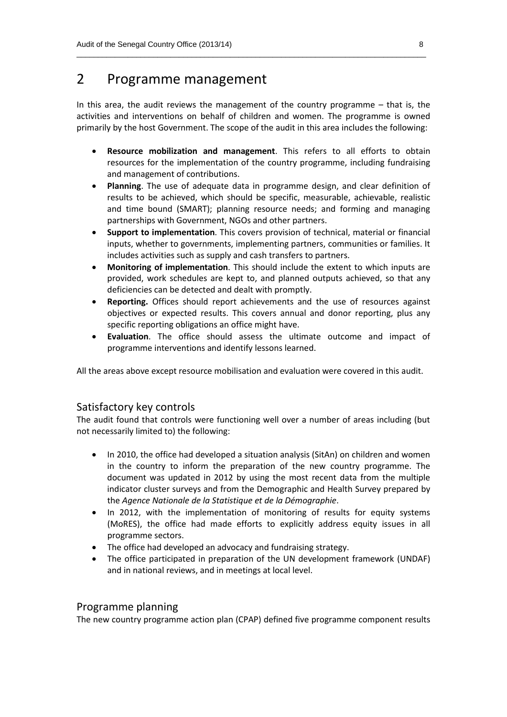## 2 Programme management

In this area, the audit reviews the management of the country programme – that is, the activities and interventions on behalf of children and women. The programme is owned primarily by the host Government. The scope of the audit in this area includes the following:

\_\_\_\_\_\_\_\_\_\_\_\_\_\_\_\_\_\_\_\_\_\_\_\_\_\_\_\_\_\_\_\_\_\_\_\_\_\_\_\_\_\_\_\_\_\_\_\_\_\_\_\_\_\_\_\_\_\_\_\_\_\_\_\_\_\_\_\_\_\_\_\_\_\_\_\_\_\_\_\_\_\_

- **Resource mobilization and management**. This refers to all efforts to obtain resources for the implementation of the country programme, including fundraising and management of contributions.
- **Planning**. The use of adequate data in programme design, and clear definition of results to be achieved, which should be specific, measurable, achievable, realistic and time bound (SMART); planning resource needs; and forming and managing partnerships with Government, NGOs and other partners.
- **Support to implementation**. This covers provision of technical, material or financial inputs, whether to governments, implementing partners, communities or families. It includes activities such as supply and cash transfers to partners.
- **Monitoring of implementation**. This should include the extent to which inputs are provided, work schedules are kept to, and planned outputs achieved, so that any deficiencies can be detected and dealt with promptly.
- **Reporting.** Offices should report achievements and the use of resources against objectives or expected results. This covers annual and donor reporting, plus any specific reporting obligations an office might have.
- **Evaluation**. The office should assess the ultimate outcome and impact of programme interventions and identify lessons learned.

All the areas above except resource mobilisation and evaluation were covered in this audit.

#### Satisfactory key controls

The audit found that controls were functioning well over a number of areas including (but not necessarily limited to) the following:

- In 2010, the office had developed a situation analysis (SitAn) on children and women in the country to inform the preparation of the new country programme. The document was updated in 2012 by using the most recent data from the multiple indicator cluster surveys and from the Demographic and Health Survey prepared by the *Agence Nationale de la Statistique et de la Démographie*.
- In 2012, with the implementation of monitoring of results for equity systems (MoRES), the office had made efforts to explicitly address equity issues in all programme sectors.
- The office had developed an advocacy and fundraising strategy.
- The office participated in preparation of the UN development framework (UNDAF) and in national reviews, and in meetings at local level.

#### Programme planning

The new country programme action plan (CPAP) defined five programme component results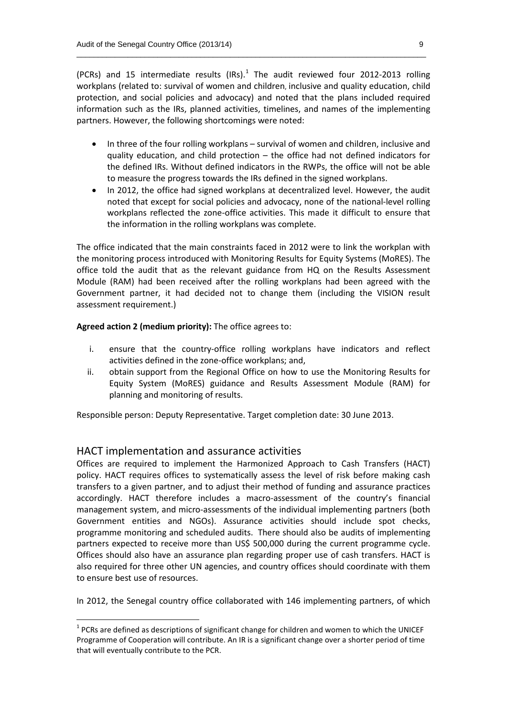(PCRs) and 15 intermediate results (IRs). $<sup>1</sup>$  The audit reviewed four 2012-2013 rolling</sup> workplans (related to: survival of women and children, inclusive and quality education, child protection, and social policies and advocacy) and noted that the plans included required information such as the IRs, planned activities, timelines, and names of the implementing partners. However, the following shortcomings were noted:

\_\_\_\_\_\_\_\_\_\_\_\_\_\_\_\_\_\_\_\_\_\_\_\_\_\_\_\_\_\_\_\_\_\_\_\_\_\_\_\_\_\_\_\_\_\_\_\_\_\_\_\_\_\_\_\_\_\_\_\_\_\_\_\_\_\_\_\_\_\_\_\_\_\_\_\_\_\_\_\_\_\_

- In three of the four rolling workplans survival of women and children, inclusive and quality education, and child protection – the office had not defined indicators for the defined IRs. Without defined indicators in the RWPs, the office will not be able to measure the progress towards the IRs defined in the signed workplans.
- In 2012, the office had signed workplans at decentralized level. However, the audit noted that except for social policies and advocacy, none of the national-level rolling workplans reflected the zone-office activities. This made it difficult to ensure that the information in the rolling workplans was complete.

The office indicated that the main constraints faced in 2012 were to link the workplan with the monitoring process introduced with Monitoring Results for Equity Systems (MoRES). The office told the audit that as the relevant guidance from HQ on the Results Assessment Module (RAM) had been received after the rolling workplans had been agreed with the Government partner, it had decided not to change them (including the VISION result assessment requirement.)

#### **Agreed action 2 (medium priority):** The office agrees to:

- i. ensure that the country-office rolling workplans have indicators and reflect activities defined in the zone-office workplans; and,
- ii. obtain support from the Regional Office on how to use the Monitoring Results for Equity System (MoRES) guidance and Results Assessment Module (RAM) for planning and monitoring of results.

Responsible person: Deputy Representative. Target completion date: 30 June 2013.

#### HACT implementation and assurance activities

Offices are required to implement the Harmonized Approach to Cash Transfers (HACT) policy. HACT requires offices to systematically assess the level of risk before making cash transfers to a given partner, and to adjust their method of funding and assurance practices accordingly. HACT therefore includes a macro-assessment of the country's financial management system, and micro-assessments of the individual implementing partners (both Government entities and NGOs). Assurance activities should include spot checks, programme monitoring and scheduled audits. There should also be audits of implementing partners expected to receive more than US\$ 500,000 during the current programme cycle. Offices should also have an assurance plan regarding proper use of cash transfers. HACT is also required for three other UN agencies, and country offices should coordinate with them to ensure best use of resources.

In 2012, the Senegal country office collaborated with 146 implementing partners, of which

 $<sup>1</sup>$  PCRs are defined as descriptions of significant change for children and women to which the UNICEF</sup> Programme of Cooperation will contribute. An IR is a significant change over a shorter period of time that will eventually contribute to the PCR.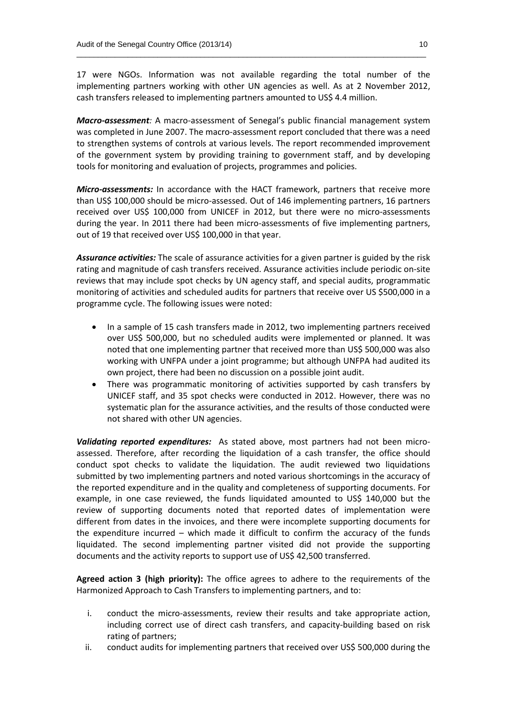17 were NGOs. Information was not available regarding the total number of the implementing partners working with other UN agencies as well. As at 2 November 2012, cash transfers released to implementing partners amounted to US\$ 4.4 million.

\_\_\_\_\_\_\_\_\_\_\_\_\_\_\_\_\_\_\_\_\_\_\_\_\_\_\_\_\_\_\_\_\_\_\_\_\_\_\_\_\_\_\_\_\_\_\_\_\_\_\_\_\_\_\_\_\_\_\_\_\_\_\_\_\_\_\_\_\_\_\_\_\_\_\_\_\_\_\_\_\_\_

*Macro-assessment:* A macro-assessment of Senegal's public financial management system was completed in June 2007. The macro-assessment report concluded that there was a need to strengthen systems of controls at various levels. The report recommended improvement of the government system by providing training to government staff, and by developing tools for monitoring and evaluation of projects, programmes and policies.

*Micro-assessments:* In accordance with the HACT framework, partners that receive more than US\$ 100,000 should be micro-assessed. Out of 146 implementing partners, 16 partners received over US\$ 100,000 from UNICEF in 2012, but there were no micro-assessments during the year. In 2011 there had been micro-assessments of five implementing partners, out of 19 that received over US\$ 100,000 in that year.

*Assurance activities:* The scale of assurance activities for a given partner is guided by the risk rating and magnitude of cash transfers received. Assurance activities include periodic on-site reviews that may include spot checks by UN agency staff, and special audits, programmatic monitoring of activities and scheduled audits for partners that receive over US \$500,000 in a programme cycle. The following issues were noted:

- In a sample of 15 cash transfers made in 2012, two implementing partners received over US\$ 500,000, but no scheduled audits were implemented or planned. It was noted that one implementing partner that received more than US\$ 500,000 was also working with UNFPA under a joint programme; but although UNFPA had audited its own project, there had been no discussion on a possible joint audit.
- There was programmatic monitoring of activities supported by cash transfers by UNICEF staff, and 35 spot checks were conducted in 2012. However, there was no systematic plan for the assurance activities, and the results of those conducted were not shared with other UN agencies.

*Validating reported expenditures:* As stated above, most partners had not been microassessed. Therefore, after recording the liquidation of a cash transfer, the office should conduct spot checks to validate the liquidation. The audit reviewed two liquidations submitted by two implementing partners and noted various shortcomings in the accuracy of the reported expenditure and in the quality and completeness of supporting documents. For example, in one case reviewed, the funds liquidated amounted to US\$ 140,000 but the review of supporting documents noted that reported dates of implementation were different from dates in the invoices, and there were incomplete supporting documents for the expenditure incurred – which made it difficult to confirm the accuracy of the funds liquidated. The second implementing partner visited did not provide the supporting documents and the activity reports to support use of US\$ 42,500 transferred.

**Agreed action 3 (high priority):** The office agrees to adhere to the requirements of the Harmonized Approach to Cash Transfers to implementing partners, and to:

- i. conduct the micro-assessments, review their results and take appropriate action, including correct use of direct cash transfers, and capacity-building based on risk rating of partners;
- ii. conduct audits for implementing partners that received over US\$ 500,000 during the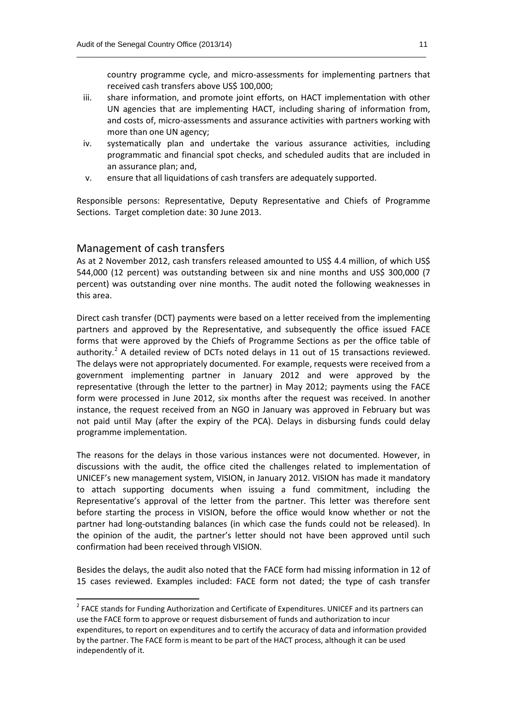country programme cycle, and micro-assessments for implementing partners that received cash transfers above US\$ 100,000;

iii. share information, and promote joint efforts, on HACT implementation with other UN agencies that are implementing HACT, including sharing of information from, and costs of, micro-assessments and assurance activities with partners working with more than one UN agency;

\_\_\_\_\_\_\_\_\_\_\_\_\_\_\_\_\_\_\_\_\_\_\_\_\_\_\_\_\_\_\_\_\_\_\_\_\_\_\_\_\_\_\_\_\_\_\_\_\_\_\_\_\_\_\_\_\_\_\_\_\_\_\_\_\_\_\_\_\_\_\_\_\_\_\_\_\_\_\_\_\_\_

- iv. systematically plan and undertake the various assurance activities, including programmatic and financial spot checks, and scheduled audits that are included in an assurance plan; and,
- v. ensure that all liquidations of cash transfers are adequately supported.

Responsible persons: Representative, Deputy Representative and Chiefs of Programme Sections. Target completion date: 30 June 2013.

#### Management of cash transfers

As at 2 November 2012, cash transfers released amounted to US\$ 4.4 million, of which US\$ 544,000 (12 percent) was outstanding between six and nine months and US\$ 300,000 (7 percent) was outstanding over nine months. The audit noted the following weaknesses in this area.

Direct cash transfer (DCT) payments were based on a letter received from the implementing partners and approved by the Representative, and subsequently the office issued FACE forms that were approved by the Chiefs of Programme Sections as per the office table of authority.<sup>2</sup> A detailed review of DCTs noted delays in 11 out of 15 transactions reviewed. The delays were not appropriately documented. For example, requests were received from a government implementing partner in January 2012 and were approved by the representative (through the letter to the partner) in May 2012; payments using the FACE form were processed in June 2012, six months after the request was received. In another instance, the request received from an NGO in January was approved in February but was not paid until May (after the expiry of the PCA). Delays in disbursing funds could delay programme implementation.

The reasons for the delays in those various instances were not documented. However, in discussions with the audit, the office cited the challenges related to implementation of UNICEF's new management system, VISION, in January 2012. VISION has made it mandatory to attach supporting documents when issuing a fund commitment, including the Representative's approval of the letter from the partner. This letter was therefore sent before starting the process in VISION, before the office would know whether or not the partner had long-outstanding balances (in which case the funds could not be released). In the opinion of the audit, the partner's letter should not have been approved until such confirmation had been received through VISION.

Besides the delays, the audit also noted that the FACE form had missing information in 12 of 15 cases reviewed. Examples included: FACE form not dated; the type of cash transfer

 $2$  FACE stands for Funding Authorization and Certificate of Expenditures. UNICEF and its partners can use the FACE form to approve or request disbursement of funds and authorization to incur expenditures, to report on expenditures and to certify the accuracy of data and information provided by the partner. The FACE form is meant to be part of the HACT process, although it can be used independently of it.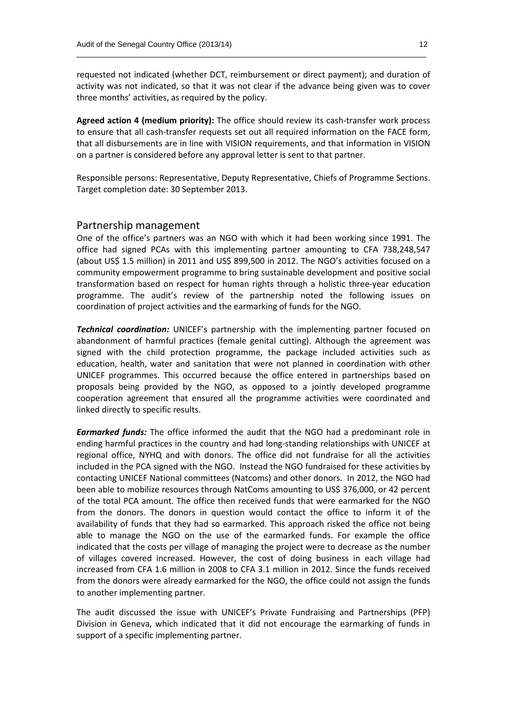requested not indicated (whether DCT, reimbursement or direct payment); and duration of activity was not indicated, so that it was not clear if the advance being given was to cover three months' activities, as required by the policy.

\_\_\_\_\_\_\_\_\_\_\_\_\_\_\_\_\_\_\_\_\_\_\_\_\_\_\_\_\_\_\_\_\_\_\_\_\_\_\_\_\_\_\_\_\_\_\_\_\_\_\_\_\_\_\_\_\_\_\_\_\_\_\_\_\_\_\_\_\_\_\_\_\_\_\_\_\_\_\_\_\_\_

**Agreed action 4 (medium priority):** The office should review its cash-transfer work process to ensure that all cash-transfer requests set out all required information on the FACE form, that all disbursements are in line with VISION requirements, and that information in VISION on a partner is considered before any approval letter is sent to that partner.

Responsible persons: Representative, Deputy Representative, Chiefs of Programme Sections. Target completion date: 30 September 2013.

#### Partnership management

One of the office's partners was an NGO with which it had been working since 1991. The office had signed PCAs with this implementing partner amounting to CFA 738,248,547 (about US\$ 1.5 million) in 2011 and US\$ 899,500 in 2012. The NGO's activities focused on a community empowerment programme to bring sustainable development and positive social transformation based on respect for human rights through a holistic three-year education programme. The audit's review of the partnership noted the following issues on coordination of project activities and the earmarking of funds for the NGO.

*Technical coordination:* UNICEF's partnership with the implementing partner focused on abandonment of harmful practices (female genital cutting). Although the agreement was signed with the child protection programme, the package included activities such as education, health, water and sanitation that were not planned in coordination with other UNICEF programmes. This occurred because the office entered in partnerships based on proposals being provided by the NGO, as opposed to a jointly developed programme cooperation agreement that ensured all the programme activities were coordinated and linked directly to specific results.

*Earmarked funds:* The office informed the audit that the NGO had a predominant role in ending harmful practices in the country and had long-standing relationships with UNICEF at regional office, NYHQ and with donors. The office did not fundraise for all the activities included in the PCA signed with the NGO. Instead the NGO fundraised for these activities by contacting UNICEF National committees (Natcoms) and other donors. In 2012, the NGO had been able to mobilize resources through NatComs amounting to US\$ 376,000, or 42 percent of the total PCA amount. The office then received funds that were earmarked for the NGO from the donors. The donors in question would contact the office to inform it of the availability of funds that they had so earmarked. This approach risked the office not being able to manage the NGO on the use of the earmarked funds. For example the office indicated that the costs per village of managing the project were to decrease as the number of villages covered increased. However, the cost of doing business in each village had increased from CFA 1.6 million in 2008 to CFA 3.1 million in 2012. Since the funds received from the donors were already earmarked for the NGO, the office could not assign the funds to another implementing partner.

The audit discussed the issue with UNICEF's Private Fundraising and Partnerships (PFP) Division in Geneva, which indicated that it did not encourage the earmarking of funds in support of a specific implementing partner.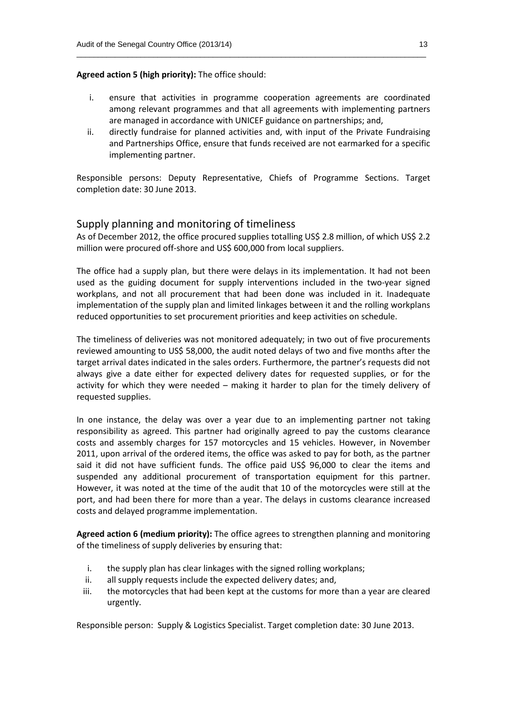#### **Agreed action 5 (high priority):** The office should:

i. ensure that activities in programme cooperation agreements are coordinated among relevant programmes and that all agreements with implementing partners are managed in accordance with UNICEF guidance on partnerships; and,

\_\_\_\_\_\_\_\_\_\_\_\_\_\_\_\_\_\_\_\_\_\_\_\_\_\_\_\_\_\_\_\_\_\_\_\_\_\_\_\_\_\_\_\_\_\_\_\_\_\_\_\_\_\_\_\_\_\_\_\_\_\_\_\_\_\_\_\_\_\_\_\_\_\_\_\_\_\_\_\_\_\_

ii. directly fundraise for planned activities and, with input of the Private Fundraising and Partnerships Office, ensure that funds received are not earmarked for a specific implementing partner.

Responsible persons: Deputy Representative, Chiefs of Programme Sections. Target completion date: 30 June 2013.

#### Supply planning and monitoring of timeliness

As of December 2012, the office procured supplies totalling US\$ 2.8 million, of which US\$ 2.2 million were procured off-shore and US\$ 600,000 from local suppliers.

The office had a supply plan, but there were delays in its implementation. It had not been used as the guiding document for supply interventions included in the two-year signed workplans, and not all procurement that had been done was included in it. Inadequate implementation of the supply plan and limited linkages between it and the rolling workplans reduced opportunities to set procurement priorities and keep activities on schedule.

The timeliness of deliveries was not monitored adequately; in two out of five procurements reviewed amounting to US\$ 58,000, the audit noted delays of two and five months after the target arrival dates indicated in the sales orders. Furthermore, the partner's requests did not always give a date either for expected delivery dates for requested supplies, or for the activity for which they were needed – making it harder to plan for the timely delivery of requested supplies.

In one instance, the delay was over a year due to an implementing partner not taking responsibility as agreed. This partner had originally agreed to pay the customs clearance costs and assembly charges for 157 motorcycles and 15 vehicles. However, in November 2011, upon arrival of the ordered items, the office was asked to pay for both, as the partner said it did not have sufficient funds. The office paid US\$ 96,000 to clear the items and suspended any additional procurement of transportation equipment for this partner. However, it was noted at the time of the audit that 10 of the motorcycles were still at the port, and had been there for more than a year. The delays in customs clearance increased costs and delayed programme implementation.

**Agreed action 6 (medium priority):** The office agrees to strengthen planning and monitoring of the timeliness of supply deliveries by ensuring that:

- i. the supply plan has clear linkages with the signed rolling workplans;
- ii. all supply requests include the expected delivery dates; and,
- iii. the motorcycles that had been kept at the customs for more than a year are cleared urgently.

Responsible person: Supply & Logistics Specialist. Target completion date: 30 June 2013.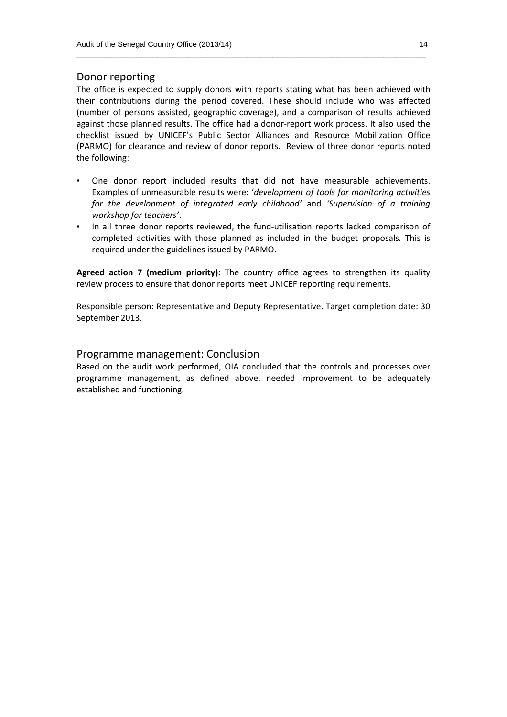#### Donor reporting

The office is expected to supply donors with reports stating what has been achieved with their contributions during the period covered. These should include who was affected (number of persons assisted, geographic coverage), and a comparison of results achieved against those planned results. The office had a donor-report work process. It also used the checklist issued by UNICEF's Public Sector Alliances and Resource Mobilization Office (PARMO) for clearance and review of donor reports. Review of three donor reports noted the following:

\_\_\_\_\_\_\_\_\_\_\_\_\_\_\_\_\_\_\_\_\_\_\_\_\_\_\_\_\_\_\_\_\_\_\_\_\_\_\_\_\_\_\_\_\_\_\_\_\_\_\_\_\_\_\_\_\_\_\_\_\_\_\_\_\_\_\_\_\_\_\_\_\_\_\_\_\_\_\_\_\_\_

- One donor report included results that did not have measurable achievements. Examples of unmeasurable results were: '*development of tools for monitoring activities for the development of integrated early childhood'* and *'Supervision of a training workshop for teachers'*.
- In all three donor reports reviewed, the fund-utilisation reports lacked comparison of completed activities with those planned as included in the budget proposals*.* This is required under the guidelines issued by PARMO.

**Agreed action 7 (medium priority):** The country office agrees to strengthen its quality review process to ensure that donor reports meet UNICEF reporting requirements.

Responsible person: Representative and Deputy Representative. Target completion date: 30 September 2013.

#### Programme management: Conclusion

Based on the audit work performed, OIA concluded that the controls and processes over programme management, as defined above, needed improvement to be adequately established and functioning.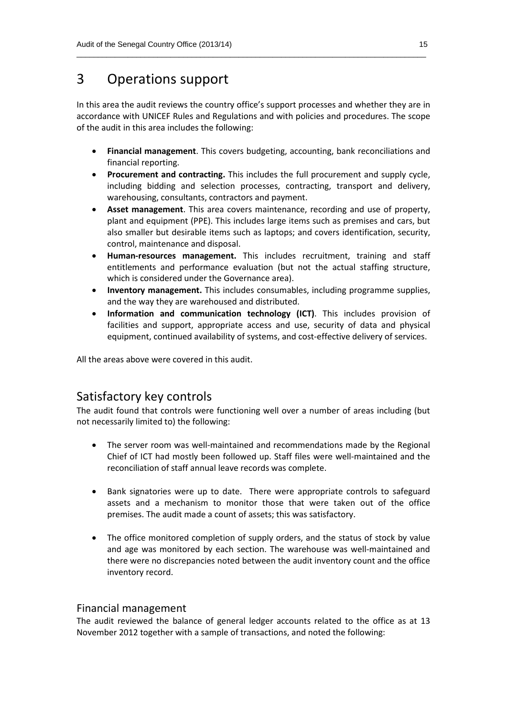## 3 Operations support

In this area the audit reviews the country office's support processes and whether they are in accordance with UNICEF Rules and Regulations and with policies and procedures. The scope of the audit in this area includes the following:

\_\_\_\_\_\_\_\_\_\_\_\_\_\_\_\_\_\_\_\_\_\_\_\_\_\_\_\_\_\_\_\_\_\_\_\_\_\_\_\_\_\_\_\_\_\_\_\_\_\_\_\_\_\_\_\_\_\_\_\_\_\_\_\_\_\_\_\_\_\_\_\_\_\_\_\_\_\_\_\_\_\_

- **Financial management**. This covers budgeting, accounting, bank reconciliations and financial reporting.
- **Procurement and contracting.** This includes the full procurement and supply cycle, including bidding and selection processes, contracting, transport and delivery, warehousing, consultants, contractors and payment.
- **Asset management**. This area covers maintenance, recording and use of property, plant and equipment (PPE). This includes large items such as premises and cars, but also smaller but desirable items such as laptops; and covers identification, security, control, maintenance and disposal.
- **Human-resources management.** This includes recruitment, training and staff entitlements and performance evaluation (but not the actual staffing structure, which is considered under the Governance area).
- **Inventory management.** This includes consumables, including programme supplies, and the way they are warehoused and distributed.
- **Information and communication technology (ICT)**. This includes provision of facilities and support, appropriate access and use, security of data and physical equipment, continued availability of systems, and cost-effective delivery of services.

All the areas above were covered in this audit.

#### Satisfactory key controls

The audit found that controls were functioning well over a number of areas including (but not necessarily limited to) the following:

- The server room was well-maintained and recommendations made by the Regional Chief of ICT had mostly been followed up. Staff files were well-maintained and the reconciliation of staff annual leave records was complete.
- Bank signatories were up to date. There were appropriate controls to safeguard assets and a mechanism to monitor those that were taken out of the office premises. The audit made a count of assets; this was satisfactory.
- The office monitored completion of supply orders, and the status of stock by value and age was monitored by each section. The warehouse was well-maintained and there were no discrepancies noted between the audit inventory count and the office inventory record.

#### Financial management

The audit reviewed the balance of general ledger accounts related to the office as at 13 November 2012 together with a sample of transactions, and noted the following: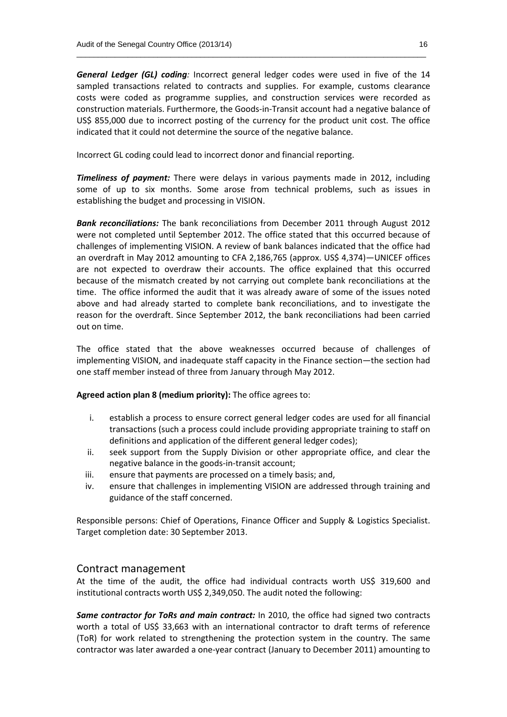*General Ledger (GL) coding:* Incorrect general ledger codes were used in five of the 14 sampled transactions related to contracts and supplies. For example, customs clearance costs were coded as programme supplies, and construction services were recorded as construction materials. Furthermore, the Goods-in-Transit account had a negative balance of US\$ 855,000 due to incorrect posting of the currency for the product unit cost. The office indicated that it could not determine the source of the negative balance.

\_\_\_\_\_\_\_\_\_\_\_\_\_\_\_\_\_\_\_\_\_\_\_\_\_\_\_\_\_\_\_\_\_\_\_\_\_\_\_\_\_\_\_\_\_\_\_\_\_\_\_\_\_\_\_\_\_\_\_\_\_\_\_\_\_\_\_\_\_\_\_\_\_\_\_\_\_\_\_\_\_\_

Incorrect GL coding could lead to incorrect donor and financial reporting.

*Timeliness of payment:* There were delays in various payments made in 2012, including some of up to six months. Some arose from technical problems, such as issues in establishing the budget and processing in VISION.

*Bank reconciliations:* The bank reconciliations from December 2011 through August 2012 were not completed until September 2012. The office stated that this occurred because of challenges of implementing VISION. A review of bank balances indicated that the office had an overdraft in May 2012 amounting to CFA 2,186,765 (approx. US\$ 4,374)—UNICEF offices are not expected to overdraw their accounts. The office explained that this occurred because of the mismatch created by not carrying out complete bank reconciliations at the time. The office informed the audit that it was already aware of some of the issues noted above and had already started to complete bank reconciliations, and to investigate the reason for the overdraft. Since September 2012, the bank reconciliations had been carried out on time.

The office stated that the above weaknesses occurred because of challenges of implementing VISION, and inadequate staff capacity in the Finance section—the section had one staff member instead of three from January through May 2012.

#### **Agreed action plan 8 (medium priority):** The office agrees to:

- i. establish a process to ensure correct general ledger codes are used for all financial transactions (such a process could include providing appropriate training to staff on definitions and application of the different general ledger codes);
- ii. seek support from the Supply Division or other appropriate office, and clear the negative balance in the goods-in-transit account;
- iii. ensure that payments are processed on a timely basis; and,
- iv. ensure that challenges in implementing VISION are addressed through training and guidance of the staff concerned.

Responsible persons: Chief of Operations, Finance Officer and Supply & Logistics Specialist. Target completion date: 30 September 2013.

#### Contract management

At the time of the audit, the office had individual contracts worth US\$ 319,600 and institutional contracts worth US\$ 2,349,050. The audit noted the following:

*Same contractor for ToRs and main contract:* In 2010, the office had signed two contracts worth a total of US\$ 33,663 with an international contractor to draft terms of reference (ToR) for work related to strengthening the protection system in the country. The same contractor was later awarded a one-year contract (January to December 2011) amounting to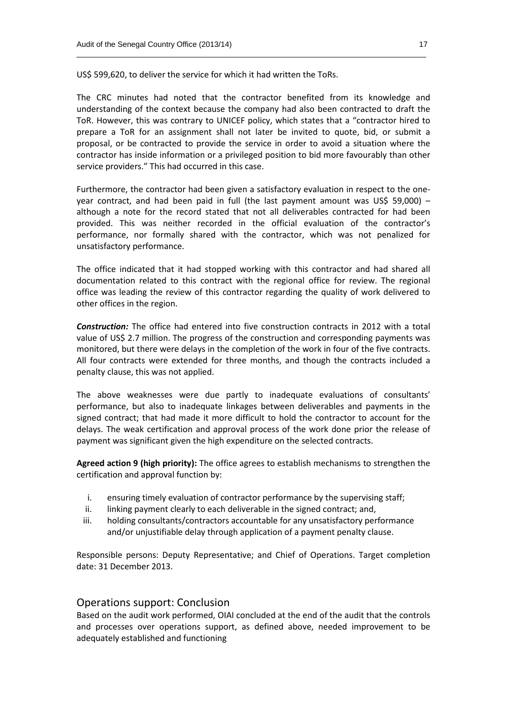US\$ 599,620, to deliver the service for which it had written the ToRs.

The CRC minutes had noted that the contractor benefited from its knowledge and understanding of the context because the company had also been contracted to draft the ToR. However, this was contrary to UNICEF policy, which states that a "contractor hired to prepare a ToR for an assignment shall not later be invited to quote, bid, or submit a proposal, or be contracted to provide the service in order to avoid a situation where the contractor has inside information or a privileged position to bid more favourably than other service providers." This had occurred in this case.

\_\_\_\_\_\_\_\_\_\_\_\_\_\_\_\_\_\_\_\_\_\_\_\_\_\_\_\_\_\_\_\_\_\_\_\_\_\_\_\_\_\_\_\_\_\_\_\_\_\_\_\_\_\_\_\_\_\_\_\_\_\_\_\_\_\_\_\_\_\_\_\_\_\_\_\_\_\_\_\_\_\_

Furthermore, the contractor had been given a satisfactory evaluation in respect to the oneyear contract, and had been paid in full (the last payment amount was US\$ 59,000) – although a note for the record stated that not all deliverables contracted for had been provided. This was neither recorded in the official evaluation of the contractor's performance, nor formally shared with the contractor, which was not penalized for unsatisfactory performance.

The office indicated that it had stopped working with this contractor and had shared all documentation related to this contract with the regional office for review. The regional office was leading the review of this contractor regarding the quality of work delivered to other offices in the region.

*Construction:* The office had entered into five construction contracts in 2012 with a total value of US\$ 2.7 million. The progress of the construction and corresponding payments was monitored, but there were delays in the completion of the work in four of the five contracts. All four contracts were extended for three months, and though the contracts included a penalty clause, this was not applied.

The above weaknesses were due partly to inadequate evaluations of consultants' performance, but also to inadequate linkages between deliverables and payments in the signed contract; that had made it more difficult to hold the contractor to account for the delays. The weak certification and approval process of the work done prior the release of payment was significant given the high expenditure on the selected contracts.

**Agreed action 9 (high priority):** The office agrees to establish mechanisms to strengthen the certification and approval function by:

- i. ensuring timely evaluation of contractor performance by the supervising staff;
- ii. linking payment clearly to each deliverable in the signed contract: and,
- iii. holding consultants/contractors accountable for any unsatisfactory performance and/or unjustifiable delay through application of a payment penalty clause.

Responsible persons: Deputy Representative; and Chief of Operations. Target completion date: 31 December 2013.

#### Operations support: Conclusion

Based on the audit work performed, OIAI concluded at the end of the audit that the controls and processes over operations support, as defined above, needed improvement to be adequately established and functioning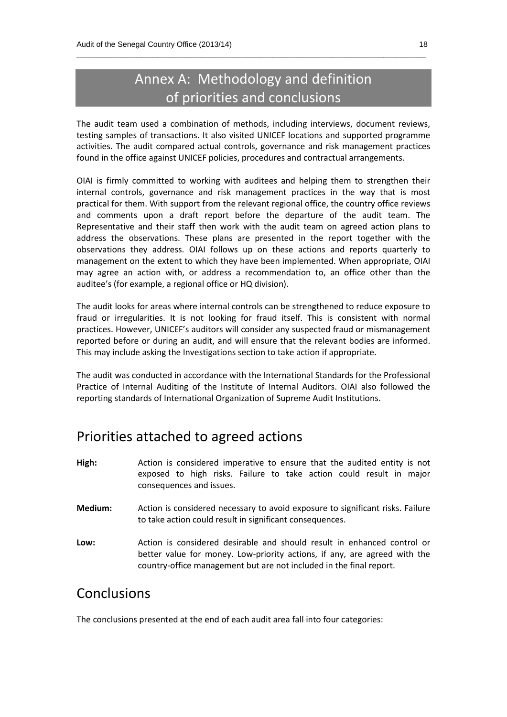## Annex A: Methodology and definition of priorities and conclusions

\_\_\_\_\_\_\_\_\_\_\_\_\_\_\_\_\_\_\_\_\_\_\_\_\_\_\_\_\_\_\_\_\_\_\_\_\_\_\_\_\_\_\_\_\_\_\_\_\_\_\_\_\_\_\_\_\_\_\_\_\_\_\_\_\_\_\_\_\_\_\_\_\_\_\_\_\_\_\_\_\_\_

The audit team used a combination of methods, including interviews, document reviews, testing samples of transactions. It also visited UNICEF locations and supported programme activities. The audit compared actual controls, governance and risk management practices found in the office against UNICEF policies, procedures and contractual arrangements.

OIAI is firmly committed to working with auditees and helping them to strengthen their internal controls, governance and risk management practices in the way that is most practical for them. With support from the relevant regional office, the country office reviews and comments upon a draft report before the departure of the audit team. The Representative and their staff then work with the audit team on agreed action plans to address the observations. These plans are presented in the report together with the observations they address. OIAI follows up on these actions and reports quarterly to management on the extent to which they have been implemented. When appropriate, OIAI may agree an action with, or address a recommendation to, an office other than the auditee's (for example, a regional office or HQ division).

The audit looks for areas where internal controls can be strengthened to reduce exposure to fraud or irregularities. It is not looking for fraud itself. This is consistent with normal practices. However, UNICEF's auditors will consider any suspected fraud or mismanagement reported before or during an audit, and will ensure that the relevant bodies are informed. This may include asking the Investigations section to take action if appropriate.

The audit was conducted in accordance with the International Standards for the Professional Practice of Internal Auditing of the Institute of Internal Auditors. OIAI also followed the reporting standards of International Organization of Supreme Audit Institutions.

## Priorities attached to agreed actions

- **High:** Action is considered imperative to ensure that the audited entity is not exposed to high risks. Failure to take action could result in major consequences and issues.
- **Medium:** Action is considered necessary to avoid exposure to significant risks. Failure to take action could result in significant consequences.
- **Low:** Action is considered desirable and should result in enhanced control or better value for money. Low-priority actions, if any, are agreed with the country-office management but are not included in the final report.

## Conclusions

The conclusions presented at the end of each audit area fall into four categories: